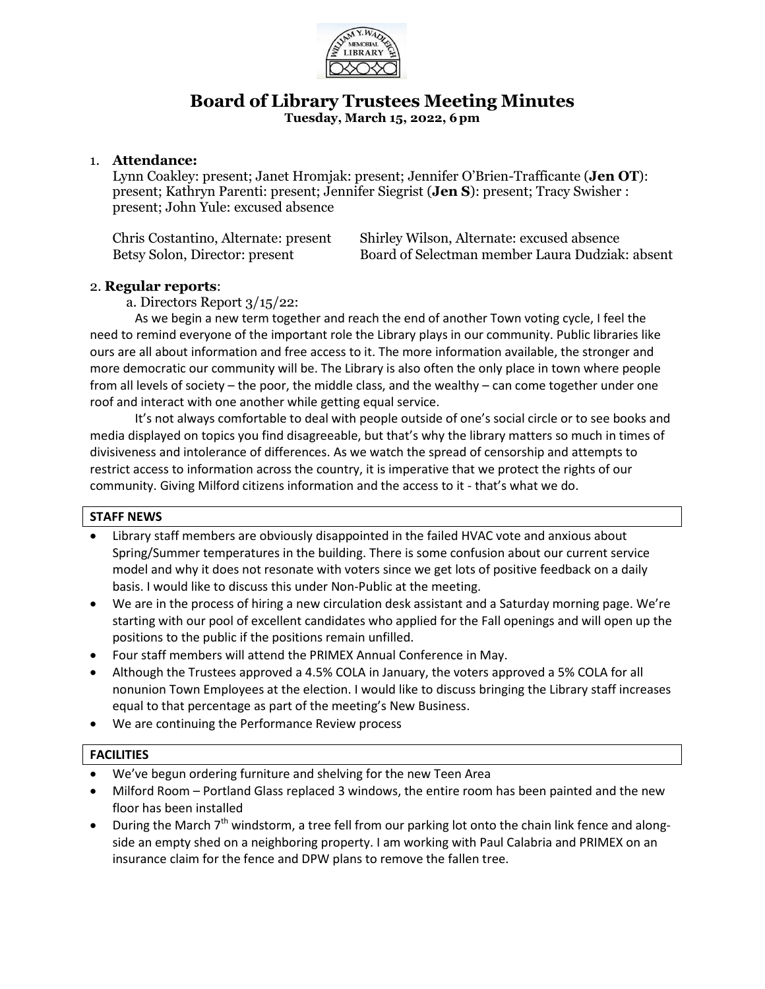

# **Board of Library Trustees Meeting Minutes**

**Tuesday, March 15, 2022, 6pm**

# 1. **Attendance:**

Lynn Coakley: present; Janet Hromjak: present; Jennifer O'Brien-Trafficante (**Jen OT**): present; Kathryn Parenti: present; Jennifer Siegrist (**Jen S**): present; Tracy Swisher : present; John Yule: excused absence

| Chris Costantino, Alternate: present | Shirley Wilson, Alternate: excused absence      |
|--------------------------------------|-------------------------------------------------|
| Betsy Solon, Director: present       | Board of Selectman member Laura Dudziak: absent |

## 2. **Regular reports**:

a. Directors Report 3/15/22:

As we begin a new term together and reach the end of another Town voting cycle, I feel the need to remind everyone of the important role the Library plays in our community. Public libraries like ours are all about information and free access to it. The more information available, the stronger and more democratic our community will be. The Library is also often the only place in town where people from all levels of society – the poor, the middle class, and the wealthy – can come together under one roof and interact with one another while getting equal service.

It's not always comfortable to deal with people outside of one's social circle or to see books and media displayed on topics you find disagreeable, but that's why the library matters so much in times of divisiveness and intolerance of differences. As we watch the spread of censorship and attempts to restrict access to information across the country, it is imperative that we protect the rights of our community. Giving Milford citizens information and the access to it - that's what we do.

#### **STAFF NEWS**

- Library staff members are obviously disappointed in the failed HVAC vote and anxious about Spring/Summer temperatures in the building. There is some confusion about our current service model and why it does not resonate with voters since we get lots of positive feedback on a daily basis. I would like to discuss this under Non-Public at the meeting.
- We are in the process of hiring a new circulation desk assistant and a Saturday morning page. We're starting with our pool of excellent candidates who applied for the Fall openings and will open up the positions to the public if the positions remain unfilled.
- Four staff members will attend the PRIMEX Annual Conference in May.
- Although the Trustees approved a 4.5% COLA in January, the voters approved a 5% COLA for all nonunion Town Employees at the election. I would like to discuss bringing the Library staff increases equal to that percentage as part of the meeting's New Business.
- We are continuing the Performance Review process

#### **FACILITIES**

- We've begun ordering furniture and shelving for the new Teen Area
- Milford Room Portland Glass replaced 3 windows, the entire room has been painted and the new floor has been installed
- $\bullet$  During the March 7<sup>th</sup> windstorm, a tree fell from our parking lot onto the chain link fence and alongside an empty shed on a neighboring property. I am working with Paul Calabria and PRIMEX on an insurance claim for the fence and DPW plans to remove the fallen tree.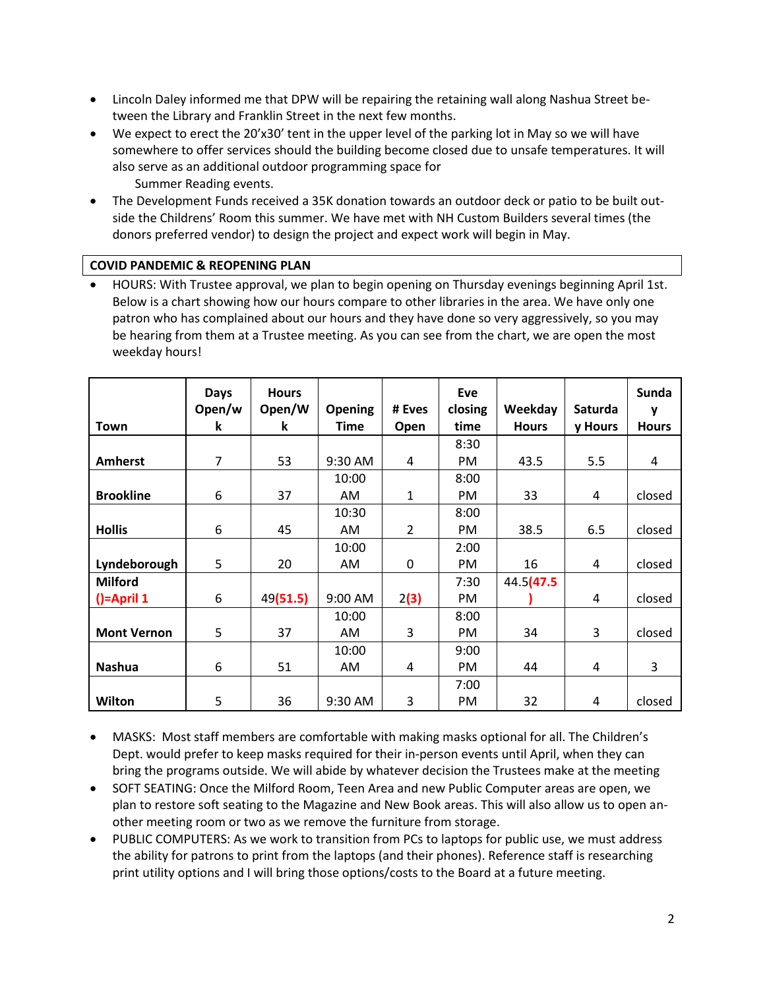- Lincoln Daley informed me that DPW will be repairing the retaining wall along Nashua Street between the Library and Franklin Street in the next few months.
- We expect to erect the 20'x30' tent in the upper level of the parking lot in May so we will have somewhere to offer services should the building become closed due to unsafe temperatures. It will also serve as an additional outdoor programming space for Summer Reading events.
- The Development Funds received a 35K donation towards an outdoor deck or patio to be built outside the Childrens' Room this summer. We have met with NH Custom Builders several times (the donors preferred vendor) to design the project and expect work will begin in May.

## **COVID PANDEMIC & REOPENING PLAN**

 HOURS: With Trustee approval, we plan to begin opening on Thursday evenings beginning April 1st. Below is a chart showing how our hours compare to other libraries in the area. We have only one patron who has complained about our hours and they have done so very aggressively, so you may be hearing from them at a Trustee meeting. As you can see from the chart, we are open the most weekday hours!

| Town               | <b>Days</b><br>Open/w<br>k | <b>Hours</b><br>Open/W<br>k | <b>Opening</b><br>Time | # Eves<br>Open | Eve<br>closing<br>time | Weekday<br><b>Hours</b> | Saturda<br>y Hours | Sunda<br>y<br><b>Hours</b> |
|--------------------|----------------------------|-----------------------------|------------------------|----------------|------------------------|-------------------------|--------------------|----------------------------|
|                    |                            |                             |                        |                | 8:30                   |                         |                    |                            |
| <b>Amherst</b>     | $\overline{7}$             | 53                          | 9:30 AM                | 4              | PM                     | 43.5                    | 5.5                | 4                          |
|                    |                            |                             | 10:00                  |                | 8:00                   |                         |                    |                            |
| <b>Brookline</b>   | 6                          | 37                          | AM                     | $\mathbf{1}$   | PM                     | 33                      | 4                  | closed                     |
|                    |                            |                             | 10:30                  |                | 8:00                   |                         |                    |                            |
| <b>Hollis</b>      | 6                          | 45                          | AM                     | $\overline{2}$ | PM                     | 38.5                    | 6.5                | closed                     |
|                    |                            |                             | 10:00                  |                | 2:00                   |                         |                    |                            |
| Lyndeborough       | 5                          | 20                          | AM.                    | $\mathbf 0$    | PM                     | 16                      | 4                  | closed                     |
| <b>Milford</b>     |                            |                             |                        |                | 7:30                   | 44.5(47.5               |                    |                            |
| $() =$ April 1     | 6                          | 49(51.5)                    | 9:00 AM                | 2(3)           | PM                     |                         | 4                  | closed                     |
|                    |                            |                             | 10:00                  |                | 8:00                   |                         |                    |                            |
| <b>Mont Vernon</b> | 5                          | 37                          | AM                     | 3              | PM                     | 34                      | 3                  | closed                     |
|                    |                            |                             | 10:00                  |                | 9:00                   |                         |                    |                            |
| <b>Nashua</b>      | 6                          | 51                          | AM                     | 4              | PM                     | 44                      | 4                  | 3                          |
|                    |                            |                             |                        |                | 7:00                   |                         |                    |                            |
| Wilton             | 5                          | 36                          | 9:30 AM                | 3              | PM                     | 32                      | 4                  | closed                     |

- MASKS: Most staff members are comfortable with making masks optional for all. The Children's Dept. would prefer to keep masks required for their in-person events until April, when they can bring the programs outside. We will abide by whatever decision the Trustees make at the meeting
- SOFT SEATING: Once the Milford Room, Teen Area and new Public Computer areas are open, we plan to restore soft seating to the Magazine and New Book areas. This will also allow us to open another meeting room or two as we remove the furniture from storage.
- PUBLIC COMPUTERS: As we work to transition from PCs to laptops for public use, we must address the ability for patrons to print from the laptops (and their phones). Reference staff is researching print utility options and I will bring those options/costs to the Board at a future meeting.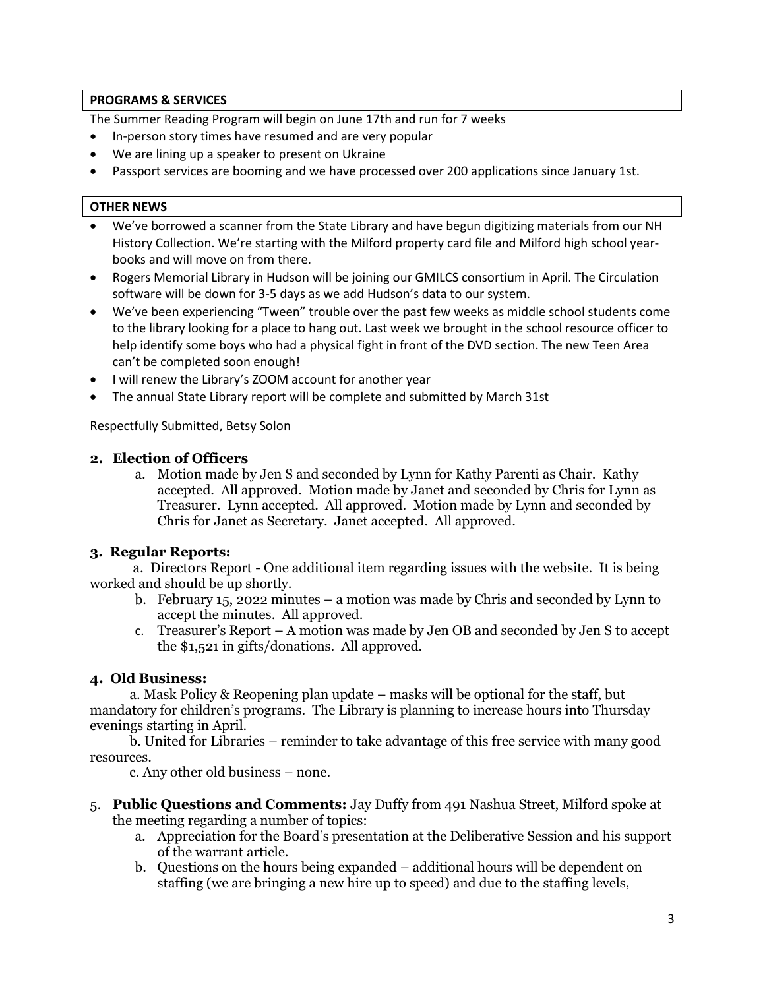## **PROGRAMS & SERVICES**

The Summer Reading Program will begin on June 17th and run for 7 weeks

- In-person story times have resumed and are very popular
- We are lining up a speaker to present on Ukraine
- Passport services are booming and we have processed over 200 applications since January 1st.

#### **OTHER NEWS**

- We've borrowed a scanner from the State Library and have begun digitizing materials from our NH History Collection. We're starting with the Milford property card file and Milford high school yearbooks and will move on from there.
- Rogers Memorial Library in Hudson will be joining our GMILCS consortium in April. The Circulation software will be down for 3-5 days as we add Hudson's data to our system.
- We've been experiencing "Tween" trouble over the past few weeks as middle school students come to the library looking for a place to hang out. Last week we brought in the school resource officer to help identify some boys who had a physical fight in front of the DVD section. The new Teen Area can't be completed soon enough!
- I will renew the Library's ZOOM account for another year
- The annual State Library report will be complete and submitted by March 31st

Respectfully Submitted, Betsy Solon

# **2. Election of Officers**

a. Motion made by Jen S and seconded by Lynn for Kathy Parenti as Chair. Kathy accepted. All approved. Motion made by Janet and seconded by Chris for Lynn as Treasurer. Lynn accepted. All approved. Motion made by Lynn and seconded by Chris for Janet as Secretary. Janet accepted. All approved.

# **3. Regular Reports:**

 a. Directors Report - One additional item regarding issues with the website. It is being worked and should be up shortly.

- b. February 15, 2022 minutes a motion was made by Chris and seconded by Lynn to accept the minutes. All approved.
- c. Treasurer's Report A motion was made by Jen OB and seconded by Jen S to accept the \$1,521 in gifts/donations. All approved.

# **4. Old Business:**

 a. Mask Policy & Reopening plan update – masks will be optional for the staff, but mandatory for children's programs. The Library is planning to increase hours into Thursday evenings starting in April.

 b. United for Libraries – reminder to take advantage of this free service with many good resources.

c. Any other old business – none.

- 5. **Public Questions and Comments:** Jay Duffy from 491 Nashua Street, Milford spoke at the meeting regarding a number of topics:
	- a. Appreciation for the Board's presentation at the Deliberative Session and his support of the warrant article.
	- b. Questions on the hours being expanded additional hours will be dependent on staffing (we are bringing a new hire up to speed) and due to the staffing levels,